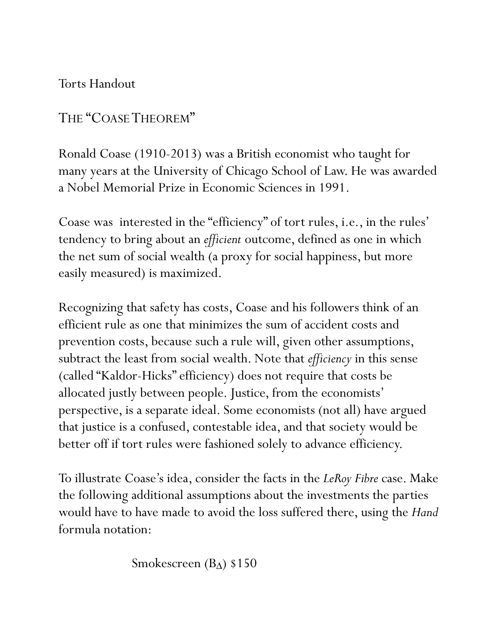Torts Handout

THE "COASE THEOREM"

Ronald Coase (1910-2013) was a British economist who taught for many years at the University of Chicago School of Law. He was awarded a Nobel Memorial Prize in Economic Sciences in 1991.

Coase was interested in the "efficiency" of tort rules, i.e., in the rules' tendency to bring about an *efficient* outcome, defined as one in which the net sum of social wealth (a proxy for social happiness, but more easily measured) is maximized.

Recognizing that safety has costs, Coase and his followers think of an efficient rule as one that minimizes the sum of accident costs and prevention costs, because such a rule will, given other assumptions, subtract the least from social wealth. Note that *efficiency* in this sense (called "Kaldor-Hicks" efficiency) does not require that costs be allocated justly between people. Justice, from the economists' perspective, is a separate ideal. Some economists (not all) have argued that justice is a confused, contestable idea, and that society would be better off if tort rules were fashioned solely to advance efficiency.

To illustrate Coase's idea, consider the facts in the *LeRoy Fibre* case. Make the following additional assumptions about the investments the parties would have to have made to avoid the loss suffered there, using the *Hand* formula notation:

Smokescreen (B<sub> $\triangle$ </sub>) \$150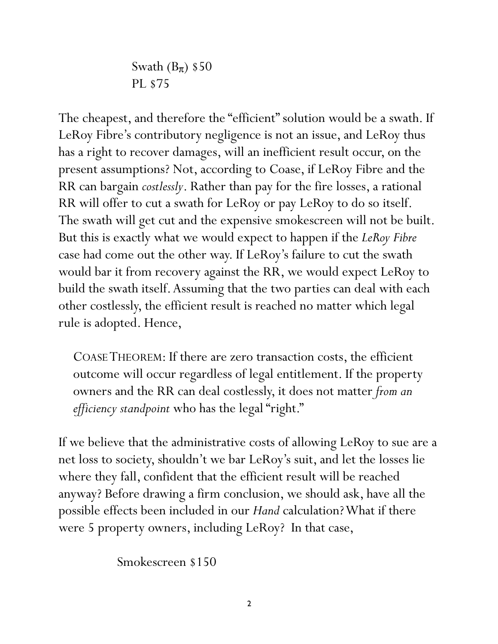Swath  $(B_{\pi})$  \$50 PL \$75

The cheapest, and therefore the "efficient" solution would be a swath. If LeRoy Fibre's contributory negligence is not an issue, and LeRoy thus has a right to recover damages, will an inefficient result occur, on the present assumptions? Not, according to Coase, if LeRoy Fibre and the RR can bargain *costlessly*. Rather than pay for the fire losses, a rational RR will offer to cut a swath for LeRoy or pay LeRoy to do so itself. The swath will get cut and the expensive smokescreen will not be built. But this is exactly what we would expect to happen if the *LeRoy Fibre* case had come out the other way. If LeRoy's failure to cut the swath would bar it from recovery against the RR, we would expect LeRoy to build the swath itself. Assuming that the two parties can deal with each other costlessly, the efficient result is reached no matter which legal rule is adopted. Hence,

COASE THEOREM: If there are zero transaction costs, the efficient outcome will occur regardless of legal entitlement. If the property owners and the RR can deal costlessly, it does not matter *from an efficiency standpoint* who has the legal "right."

If we believe that the administrative costs of allowing LeRoy to sue are a net loss to society, shouldn't we bar LeRoy's suit, and let the losses lie where they fall, confident that the efficient result will be reached anyway? Before drawing a firm conclusion, we should ask, have all the possible effects been included in our *Hand* calculation? What if there were 5 property owners, including LeRoy? In that case,

Smokescreen \$150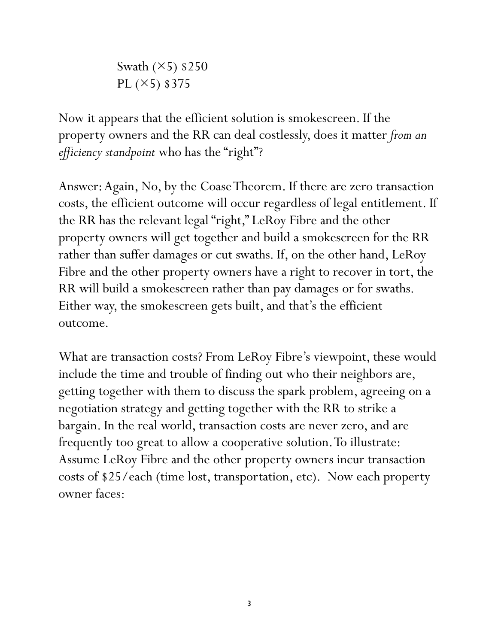Swath  $(\times 5)$  \$250 PL  $(X5)$  \$375

Now it appears that the efficient solution is smokescreen. If the property owners and the RR can deal costlessly, does it matter *from an efficiency standpoint* who has the "right"?

Answer: Again, No, by the Coase Theorem. If there are zero transaction costs, the efficient outcome will occur regardless of legal entitlement. If the RR has the relevant legal "right," LeRoy Fibre and the other property owners will get together and build a smokescreen for the RR rather than suffer damages or cut swaths. If, on the other hand, LeRoy Fibre and the other property owners have a right to recover in tort, the RR will build a smokescreen rather than pay damages or for swaths. Either way, the smokescreen gets built, and that's the efficient outcome.

What are transaction costs? From LeRoy Fibre's viewpoint, these would include the time and trouble of finding out who their neighbors are, getting together with them to discuss the spark problem, agreeing on a negotiation strategy and getting together with the RR to strike a bargain. In the real world, transaction costs are never zero, and are frequently too great to allow a cooperative solution. To illustrate: Assume LeRoy Fibre and the other property owners incur transaction costs of \$25/each (time lost, transportation, etc). Now each property owner faces: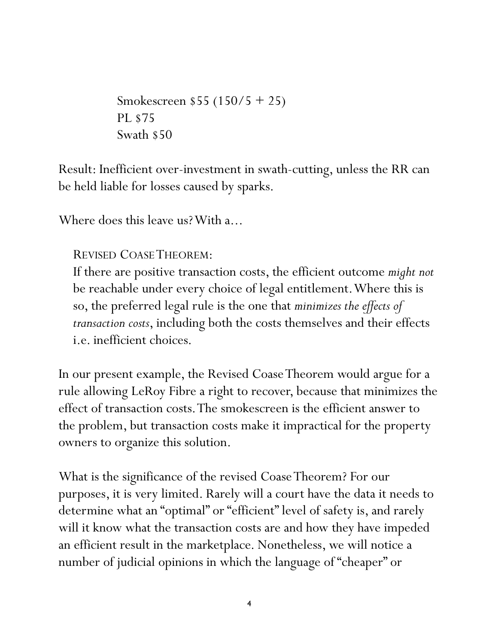Smokescreen \$55 (150/5 + 25) PL \$75 Swath \$50

Result: Inefficient over-investment in swath-cutting, unless the RR can be held liable for losses caused by sparks.

Where does this leave us? With a...

## REVISED COASE THEOREM:

If there are positive transaction costs, the efficient outcome *might not* be reachable under every choice of legal entitlement. Where this is so, the preferred legal rule is the one that *minimizes the effects of transaction costs*, including both the costs themselves and their effects i.e. inefficient choices.

In our present example, the Revised Coase Theorem would argue for a rule allowing LeRoy Fibre a right to recover, because that minimizes the effect of transaction costs. The smokescreen is the efficient answer to the problem, but transaction costs make it impractical for the property owners to organize this solution.

What is the significance of the revised Coase Theorem? For our purposes, it is very limited. Rarely will a court have the data it needs to determine what an "optimal" or "efficient" level of safety is, and rarely will it know what the transaction costs are and how they have impeded an efficient result in the marketplace. Nonetheless, we will notice a number of judicial opinions in which the language of "cheaper" or